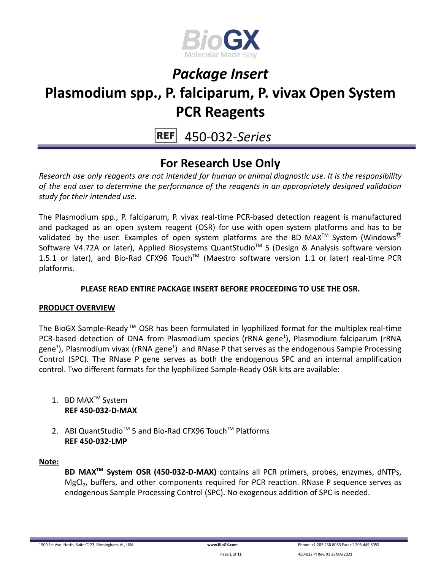

# *Package Insert*

## **Plasmodium spp., P. falciparum, P. vivax Open System PCR Reagents**

450-032-*Series*

### **For Research Use Only**

*Research use only reagents are not intended for human or animal diagnostic use. It is the responsibility of the end user to determine the performance of the reagents in an appropriately designed validation study for their intended use.*

The Plasmodium spp., P. falciparum, P. vivax real-time PCR-based detection reagent is manufactured and packaged as an open system reagent (OSR) for use with open system platforms and has to be validated by the user. Examples of open system platforms are the BD MAX<sup>TM</sup> System (Windows<sup>®</sup> Software V4.72A or later), Applied Biosystems QuantStudio<sup>™</sup> 5 (Design & Analysis software version 1.5.1 or later), and Bio-Rad CFX96 Touch™ (Maestro software version 1.1 or later) real-time PCR platforms.

#### **PLEASE READ ENTIRE PACKAGE INSERT BEFORE PROCEEDING TO USE THE OSR.**

#### **PRODUCT OVERVIEW**

The BioGX Sample-Ready™ OSR has been formulated in lyophilized format for the multiplex real-time PCR-based detection of DNA from Plasmodium species (rRNA gene<sup>1</sup>), Plasmodium falciparum (rRNA gene<sup>1</sup>), Plasmodium vivax (rRNA gene<sup>1</sup>) and RNase P that serves as the endogenous Sample Processing Control (SPC). The RNase P gene serves as both the endogenous SPC and an internal amplification control. Two different formats for the lyophilized Sample-Ready OSR kits are available:

- 1. BD MAX<sup>™</sup> System **REF 450-032-D-MAX**
- 2. ABI QuantStudio<sup>™</sup> 5 and Bio-Rad CFX96 Touch™ Platforms **REF 450-032-LMP**

#### **Note:**

**BD MAXTM System OSR (450-032-D-MAX)** contains all PCR primers, probes, enzymes, dNTPs, MgCl<sub>2</sub>, buffers, and other components required for PCR reaction. RNase P sequence serves as endogenous Sample Processing Control (SPC). No exogenous addition of SPC is needed.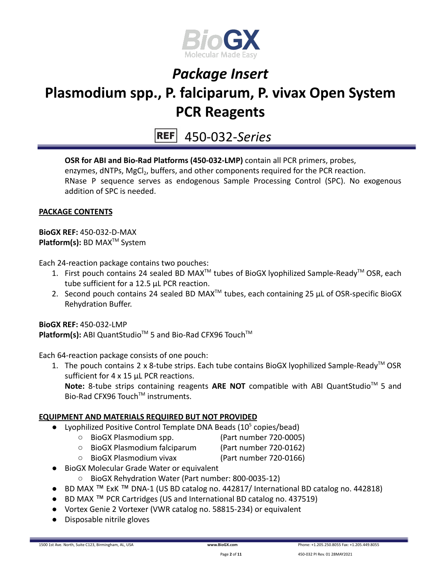

450-032-*Series*

**OSR for ABI and Bio-Rad Platforms (450-032-LMP)** contain all PCR primers, probes, enzymes, dNTPs, MgCl<sub>2</sub>, buffers, and other components required for the PCR reaction. RNase P sequence serves as endogenous Sample Processing Control (SPC). No exogenous addition of SPC is needed.

#### **PACKAGE CONTENTS**

**BioGX REF:** 450-032-D-MAX **Platform(s):** BD MAX<sup>™</sup> System

Each 24-reaction package contains two pouches:

- 1. First pouch contains 24 sealed BD MAX<sup>™</sup> tubes of BioGX lyophilized Sample-Ready<sup>™</sup> OSR, each tube sufficient for a 12.5 µL PCR reaction.
- 2. Second pouch contains 24 sealed BD MAX<sup>™</sup> tubes, each containing 25  $\mu$ L of OSR-specific BioGX Rehydration Buffer.

**BioGX REF:** 450-032-LMP Platform(s): ABI QuantStudio<sup>™</sup> 5 and Bio-Rad CFX96 Touch<sup>™</sup>

Each 64-reaction package consists of one pouch:

1. The pouch contains 2 x 8-tube strips. Each tube contains BioGX lyophilized Sample-Ready<sup>™</sup> OSR sufficient for 4 x 15 µL PCR reactions.

Note: 8-tube strips containing reagents ARE NOT compatible with ABI QuantStudio<sup>™</sup> 5 and Bio-Rad CFX96 Touch™ instruments.

#### **EQUIPMENT AND MATERIALS REQUIRED BUT NOT PROVIDED**

- Lyophilized Positive Control Template DNA Beads ( $10<sup>5</sup>$  copies/bead)
	- BioGX Plasmodium spp. (Part number 720-0005)
	- BioGX Plasmodium falciparum (Part number 720-0162)
	- BioGX Plasmodium vivax (Part number 720-0166)
- BioGX Molecular Grade Water or equivalent
	- BioGX Rehydration Water (Part number: 800-0035-12)
- BD MAX ™ ExK ™ DNA-1 (US BD catalog no. 442817/ International BD catalog no. 442818)
- BD MAX ™ PCR Cartridges (US and International BD catalog no. 437519)
- Vortex Genie 2 Vortexer (VWR catalog no. 58815-234) or equivalent
- Disposable nitrile gloves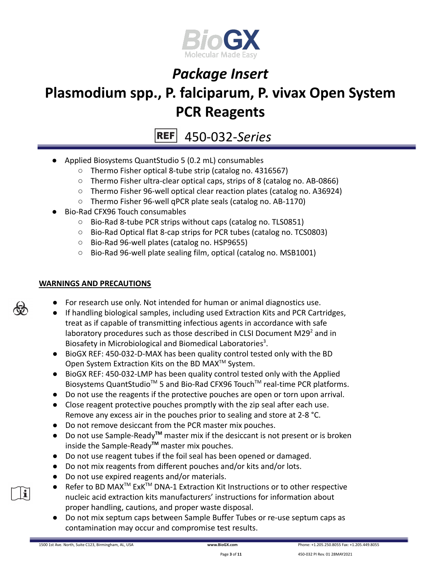

# *Package Insert*

## **Plasmodium spp., P. falciparum, P. vivax Open System PCR Reagents**

450-032-*Series*

- Applied Biosystems QuantStudio 5 (0.2 mL) consumables
	- Thermo Fisher optical 8-tube strip (catalog no. 4316567)
	- Thermo Fisher ultra-clear optical caps, strips of 8 (catalog no. AB-0866)
	- Thermo Fisher 96-well optical clear reaction plates (catalog no. A36924)
	- Thermo Fisher 96-well qPCR plate seals (catalog no. AB-1170)
- Bio-Rad CFX96 Touch consumables
	- Bio-Rad 8-tube PCR strips without caps (catalog no. TLS0851)
	- Bio-Rad Optical flat 8-cap strips for PCR tubes (catalog no. TCS0803)
	- Bio-Rad 96-well plates (catalog no. HSP9655)
	- Bio-Rad 96-well plate sealing film, optical (catalog no. MSB1001)

#### **WARNINGS AND PRECAUTIONS**

- For research use only. Not intended for human or animal diagnostics use.
- If handling biological samples, including used Extraction Kits and PCR Cartridges, treat as if capable of transmitting infectious agents in accordance with safe laboratory procedures such as those described in CLSI Document M29 $2$  and in Biosafety in Microbiological and Biomedical Laboratories<sup>3</sup>.
- BioGX REF: 450-032-D-MAX has been quality control tested only with the BD Open System Extraction Kits on the BD MAX<sup>™</sup> System.
- BioGX REF: 450-032-LMP has been quality control tested only with the Applied Biosystems QuantStudio<sup>™</sup> 5 and Bio-Rad CFX96 Touch<sup>™</sup> real-time PCR platforms.
- Do not use the reagents if the protective pouches are open or torn upon arrival.
- Close reagent protective pouches promptly with the zip seal after each use. Remove any excess air in the pouches prior to sealing and store at 2-8 °C.
- Do not remove desiccant from the PCR master mix pouches.
- Do not use Sample-Ready**TM** master mix if the desiccant is not present or is broken inside the Sample-Ready**TM** master mix pouches.
- Do not use reagent tubes if the foil seal has been opened or damaged.
- Do not mix reagents from different pouches and/or kits and/or lots.
- Do not use expired reagents and/or materials.
- Refer to BD MAX<sup>™</sup> ExK<sup>™</sup> DNA-1 Extraction Kit Instructions or to other respective nucleic acid extraction kits manufacturers' instructions for information about proper handling, cautions, and proper waste disposal.
- Do not mix septum caps between Sample Buffer Tubes or re-use septum caps as contamination may occur and compromise test results.



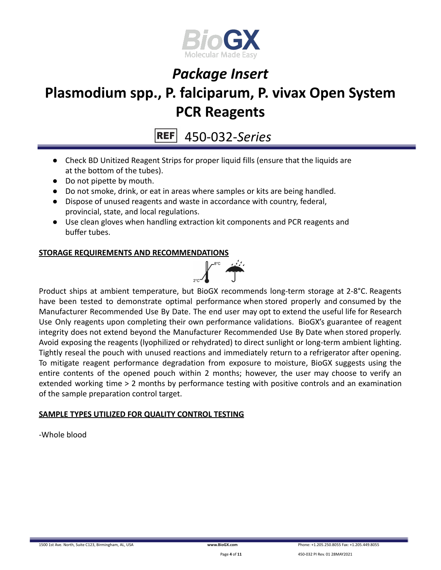

### **PCR Reagents**

450-032-*Series*

- Check BD Unitized Reagent Strips for proper liquid fills (ensure that the liquids are at the bottom of the tubes).
- Do not pipette by mouth.
- Do not smoke, drink, or eat in areas where samples or kits are being handled.
- Dispose of unused reagents and waste in accordance with country, federal, provincial, state, and local regulations.
- Use clean gloves when handling extraction kit components and PCR reagents and buffer tubes.

#### **STORAGE REQUIREMENTS AND RECOMMENDATIONS**



Product ships at ambient temperature, but BioGX recommends long-term storage at 2-8°C. Reagents have been tested to demonstrate optimal performance when stored properly and consumed by the Manufacturer Recommended Use By Date. The end user may opt to extend the useful life for Research Use Only reagents upon completing their own performance validations. BioGX's guarantee of reagent integrity does not extend beyond the Manufacturer Recommended Use By Date when stored properly. Avoid exposing the reagents (lyophilized or rehydrated) to direct sunlight or long-term ambient lighting. Tightly reseal the pouch with unused reactions and immediately return to a refrigerator after opening. To mitigate reagent performance degradation from exposure to moisture, BioGX suggests using the entire contents of the opened pouch within 2 months; however, the user may choose to verify an extended working time > 2 months by performance testing with positive controls and an examination of the sample preparation control target.

#### **SAMPLE TYPES UTILIZED FOR QUALITY CONTROL TESTING**

-Whole blood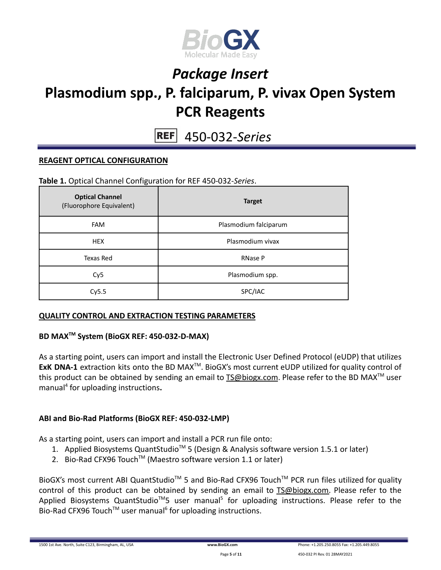

450-032-*Series*

#### **REAGENT OPTICAL CONFIGURATION**

**Table 1.** Optical Channel Configuration for REF 450-032-*Series*.

| <b>Optical Channel</b><br>(Fluorophore Equivalent) | <b>Target</b>         |
|----------------------------------------------------|-----------------------|
| <b>FAM</b>                                         | Plasmodium falciparum |
| <b>HEX</b>                                         | Plasmodium vivax      |
| Texas Red                                          | RNase P               |
| Cy <sub>5</sub>                                    | Plasmodium spp.       |
| Cy5.5                                              | SPC/IAC               |

#### **QUALITY CONTROL AND EXTRACTION TESTING PARAMETERS**

#### **BD MAXTM System (BioGX REF: 450-032-D-MAX)**

As a starting point, users can import and install the Electronic User Defined Protocol (eUDP) that utilizes ExK DNA-1 extraction kits onto the BD MAX<sup>™</sup>. BioGX's most current eUDP utilized for quality control of this product can be obtained by sending an email to [TS@biogx.com](mailto:TS@biogx.com). Please refer to the BD MAX<sup>TM</sup> user manual<sup>4</sup> for uploading instructions**.**

#### **ABI and Bio-Rad Platforms (BioGX REF: 450-032-LMP)**

As a starting point, users can import and install a PCR run file onto:

- 1. Applied Biosystems QuantStudio<sup>™</sup> 5 (Design & Analysis software version 1.5.1 or later)
- 2. Bio-Rad CFX96 Touch<sup>™</sup> (Maestro software version 1.1 or later)

BioGX's most current ABI QuantStudio<sup>™</sup> 5 and Bio-Rad CFX96 Touch<sup>™</sup> PCR run files utilized for quality control of this product can be obtained by sending an email to [TS@biogx.com.](mailto:TS@biogx.com) Please refer to the Applied Biosystems QuantStudio<sup>™</sup>5 user manual<sup>5</sup> for uploading instructions. Please refer to the Bio-Rad CFX96 Touch<sup>™</sup> user manual<sup>6</sup> for uploading instructions.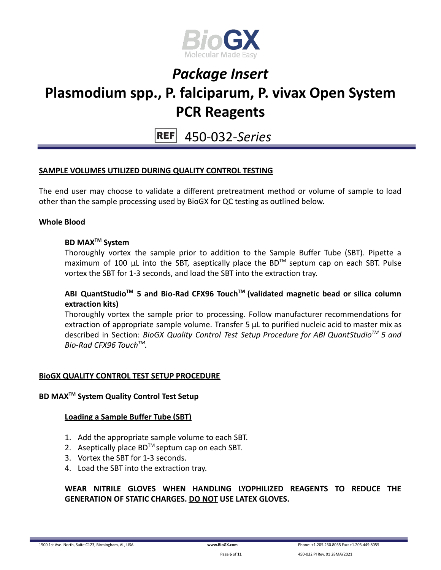

450-032-*Series*

#### **SAMPLE VOLUMES UTILIZED DURING QUALITY CONTROL TESTING**

The end user may choose to validate a different pretreatment method or volume of sample to load other than the sample processing used by BioGX for QC testing as outlined below.

#### **Whole Blood**

#### **BD MAXTM System**

Thoroughly vortex the sample prior to addition to the Sample Buffer Tube (SBT). Pipette a maximum of 100 μL into the SBT, aseptically place the BD<sup>™</sup> septum cap on each SBT. Pulse vortex the SBT for 1-3 seconds, and load the SBT into the extraction tray.

#### **ABI QuantStudioTM 5 and Bio-Rad CFX96 TouchTM (validated magnetic bead or silica column extraction kits)**

Thoroughly vortex the sample prior to processing. Follow manufacturer recommendations for extraction of appropriate sample volume. Transfer 5 μL to purified nucleic acid to master mix as described in Section: *BioGX Quality Control Test Setup Procedure for ABI QuantStudioTM 5 and Bio-Rad CFX96 TouchTM .*

#### **BioGX QUALITY CONTROL TEST SETUP PROCEDURE**

#### **BD MAXTM System Quality Control Test Setup**

#### **Loading a Sample Buffer Tube (SBT)**

- 1. Add the appropriate sample volume to each SBT.
- 2. Aseptically place  $BD^{TM}$  septum cap on each SBT.
- 3. Vortex the SBT for 1-3 seconds.
- 4. Load the SBT into the extraction tray.

#### **WEAR NITRILE GLOVES WHEN HANDLING LYOPHILIZED REAGENTS TO REDUCE THE GENERATION OF STATIC CHARGES. DO NOT USE LATEX GLOVES.**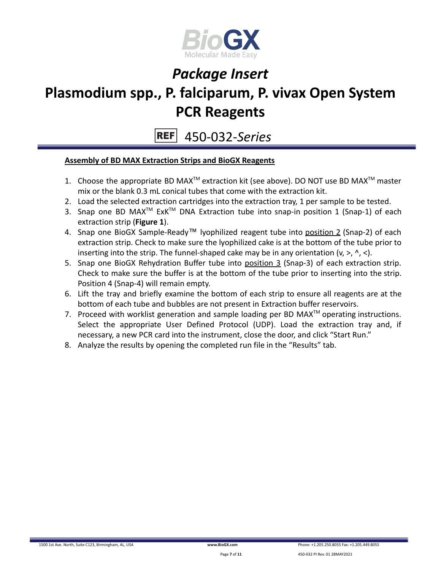

450-032-*Series* **REF** 

#### **Assembly of BD MAX Extraction Strips and BioGX Reagents**

- 1. Choose the appropriate BD MAX<sup>TM</sup> extraction kit (see above). DO NOT use BD MAX<sup>TM</sup> master mix or the blank 0.3 mL conical tubes that come with the extraction kit.
- 2. Load the selected extraction cartridges into the extraction tray, 1 per sample to be tested.
- 3. Snap one BD MAX<sup>™</sup> ExK<sup>™</sup> DNA Extraction tube into snap-in position 1 (Snap-1) of each extraction strip (**Figure 1**).
- 4. Snap one BioGX Sample-Ready™ lyophilized reagent tube into position 2 (Snap-2) of each extraction strip. Check to make sure the lyophilized cake is at the bottom of the tube prior to inserting into the strip. The funnel-shaped cake may be in any orientation  $(v, >, ' , <)$ .
- 5. Snap one BioGX Rehydration Buffer tube into position 3 (Snap-3) of each extraction strip. Check to make sure the buffer is at the bottom of the tube prior to inserting into the strip. Position 4 (Snap-4) will remain empty.
- 6. Lift the tray and briefly examine the bottom of each strip to ensure all reagents are at the bottom of each tube and bubbles are not present in Extraction buffer reservoirs.
- 7. Proceed with worklist generation and sample loading per BD MAX $^{TM}$  operating instructions. Select the appropriate User Defined Protocol (UDP). Load the extraction tray and, if necessary, a new PCR card into the instrument, close the door, and click "Start Run."
- 8. Analyze the results by opening the completed run file in the "Results" tab.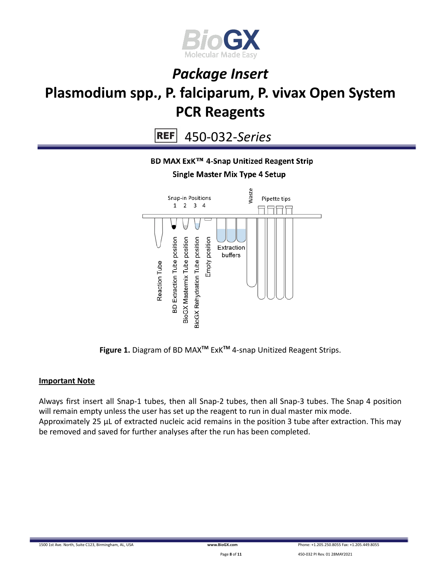

 $REF$ 450-032-*Series*

#### BD MAX ExK™ 4-Snap Unitized Reagent Strip **Single Master Mix Type 4 Setup**

### Waste Snap-in Positions Pipette tips  $1 \quad 2 \quad 3 \quad 4$ **BD** Extraction Tube position BioGX Mastermix Tube position **BioGX Rehydration Tube position** Empty position Extraction buffers Reaction Tube

**Figure 1.** Diagram of BD MAX**TM** ExK**TM** 4-snap Unitized Reagent Strips.

#### **Important Note**

Always first insert all Snap-1 tubes, then all Snap-2 tubes, then all Snap-3 tubes. The Snap 4 position will remain empty unless the user has set up the reagent to run in dual master mix mode. Approximately 25 µL of extracted nucleic acid remains in the position 3 tube after extraction. This may be removed and saved for further analyses after the run has been completed.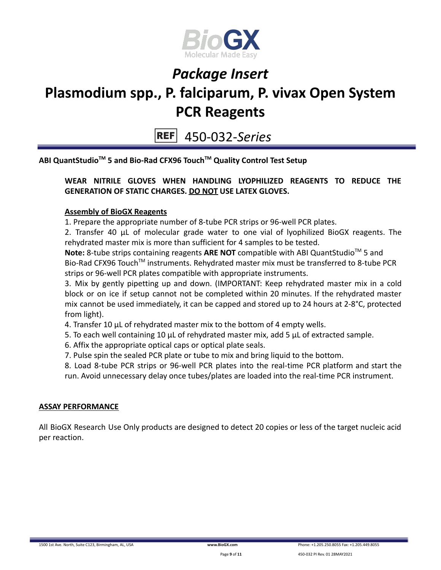

450-032-*Series*

**ABI QuantStudioTM 5 and Bio-Rad CFX96 TouchTM Quality Control Test Setup**

#### **WEAR NITRILE GLOVES WHEN HANDLING LYOPHILIZED REAGENTS TO REDUCE THE GENERATION OF STATIC CHARGES. DO NOT USE LATEX GLOVES.**

#### **Assembly of BioGX Reagents**

1. Prepare the appropriate number of 8-tube PCR strips or 96-well PCR plates.

2. Transfer 40 μL of molecular grade water to one vial of lyophilized BioGX reagents. The rehydrated master mix is more than sufficient for 4 samples to be tested.

Note: 8-tube strips containing reagents ARE NOT compatible with ABI QuantStudio<sup>™</sup> 5 and Bio-Rad CFX96 Touch<sup>™</sup> instruments. Rehydrated master mix must be transferred to 8-tube PCR strips or 96-well PCR plates compatible with appropriate instruments.

3. Mix by gently pipetting up and down. (IMPORTANT: Keep rehydrated master mix in a cold block or on ice if setup cannot not be completed within 20 minutes. If the rehydrated master mix cannot be used immediately, it can be capped and stored up to 24 hours at 2-8°C, protected from light).

- 4. Transfer 10 μL of rehydrated master mix to the bottom of 4 empty wells.
- 5. To each well containing 10 μL of rehydrated master mix, add 5 μL of extracted sample.
- 6. Affix the appropriate optical caps or optical plate seals.
- 7. Pulse spin the sealed PCR plate or tube to mix and bring liquid to the bottom.

8. Load 8-tube PCR strips or 96-well PCR plates into the real-time PCR platform and start the run. Avoid unnecessary delay once tubes/plates are loaded into the real-time PCR instrument.

#### **ASSAY PERFORMANCE**

All BioGX Research Use Only products are designed to detect 20 copies or less of the target nucleic acid per reaction.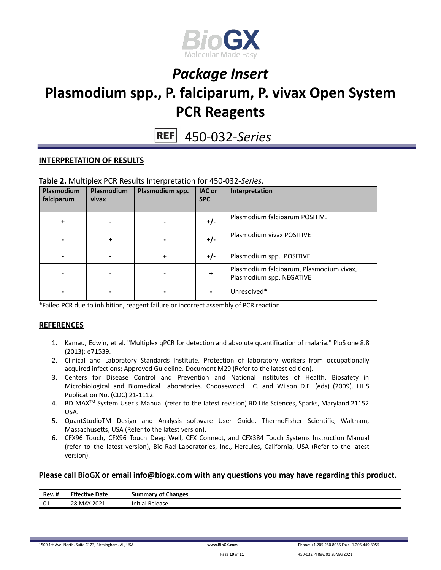

450-032-*Series*

#### **INTERPRETATION OF RESULTS**

|  |  |  | Table 2. Multiplex PCR Results Interpretation for 450-032-Series. |
|--|--|--|-------------------------------------------------------------------|
|--|--|--|-------------------------------------------------------------------|

| Plasmodium<br>falciparum | Plasmodium<br>vivax | Plasmodium spp. | IAC or<br><b>SPC</b> | Interpretation                                                       |
|--------------------------|---------------------|-----------------|----------------------|----------------------------------------------------------------------|
|                          |                     |                 | $+/-$                | Plasmodium falciparum POSITIVE                                       |
|                          | +                   |                 | $+/-$                | Plasmodium vivax POSITIVE                                            |
|                          |                     | +               | $+/-$                | Plasmodium spp. POSITIVE                                             |
|                          |                     |                 | ٠                    | Plasmodium falciparum, Plasmodium vivax,<br>Plasmodium spp. NEGATIVE |
|                          |                     |                 |                      | Unresolved*                                                          |

\*Failed PCR due to inhibition, reagent failure or incorrect assembly of PCR reaction.

#### **REFERENCES**

- 1. Kamau, Edwin, et al. "Multiplex qPCR for detection and absolute quantification of malaria." PloS one 8.8 (2013): e71539.
- 2. Clinical and Laboratory Standards Institute. Protection of laboratory workers from occupationally acquired infections; Approved Guideline. Document M29 (Refer to the latest edition).
- 3. Centers for Disease Control and Prevention and National Institutes of Health. Biosafety in Microbiological and Biomedical Laboratories. Choosewood L.C. and Wilson D.E. (eds) (2009). HHS Publication No. (CDC) 21-1112.
- 4. BD MAX TM System User's Manual (refer to the latest revision) BD Life Sciences, Sparks, Maryland 21152 USA.
- 5. QuantStudioTM Design and Analysis software User Guide, ThermoFisher Scientific, Waltham, Massachusetts, USA (Refer to the latest version).
- 6. CFX96 Touch, CFX96 Touch Deep Well, CFX Connect, and CFX384 Touch Systems Instruction Manual (refer to the latest version), Bio-Rad Laboratories, Inc., Hercules, California, USA (Refer to the latest version).

#### **Please call BioGX or email info@biogx.com with any questions you may have regarding this product.**

| $\cdot$ .<br>Rev. # | <b>Effective Date</b>      | <b>Summary of Changes</b> |
|---------------------|----------------------------|---------------------------|
| 01                  | 28 MAY 2021<br>$-$<br>____ | .<br>' Release.<br>nitia  |